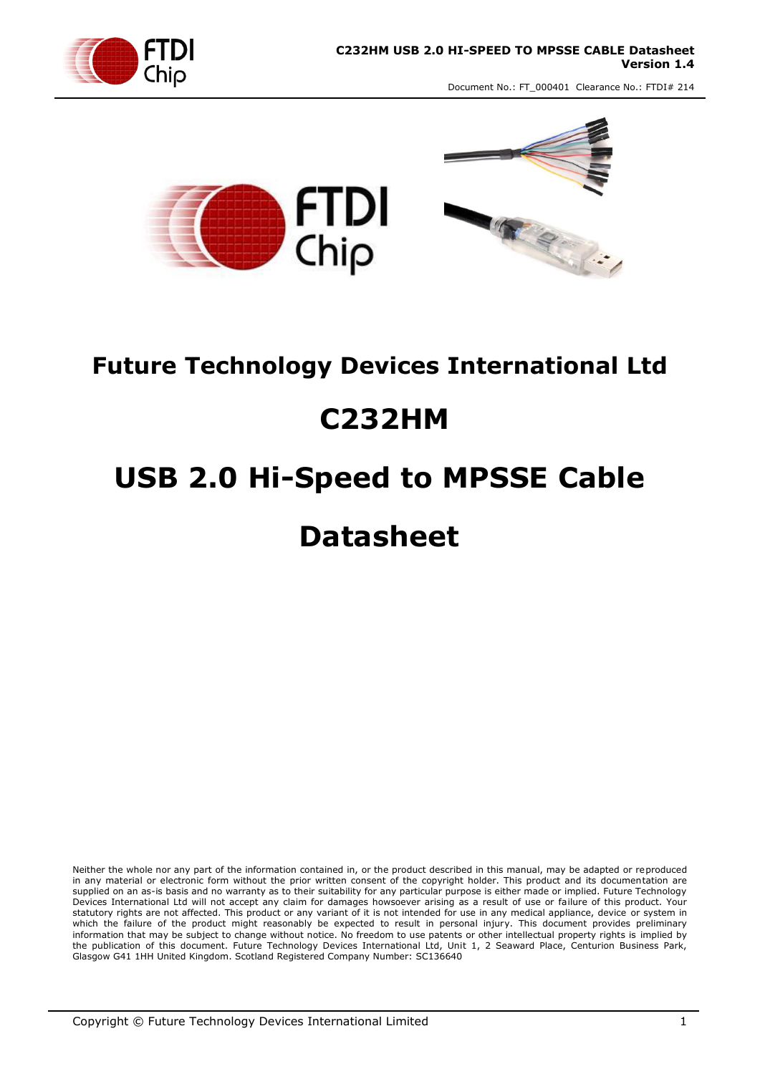



## **Future Technology Devices International Ltd**

# **C232HM**

# **USB 2.0 Hi-Speed to MPSSE Cable Datasheet**

Neither the whole nor any part of the information contained in, or the product described in this manual, may be adapted or reproduced in any material or electronic form without the prior written consent of the copyright holder. This product and its documentation are supplied on an as-is basis and no warranty as to their suitability for any particular purpose is either made or implied. Future Technology Devices International Ltd will not accept any claim for damages howsoever arising as a result of use or failure of this product. Your statutory rights are not affected. This product or any variant of it is not intended for use in any medical appliance, device or system in which the failure of the product might reasonably be expected to result in personal injury. This document provides preliminary information that may be subject to change without notice. No freedom to use patents or other intellectual property rights is implied by the publication of this document. Future Technology Devices International Ltd, Unit 1, 2 Seaward Place, Centurion Business Park, Glasgow G41 1HH United Kingdom. Scotland Registered Company Number: SC136640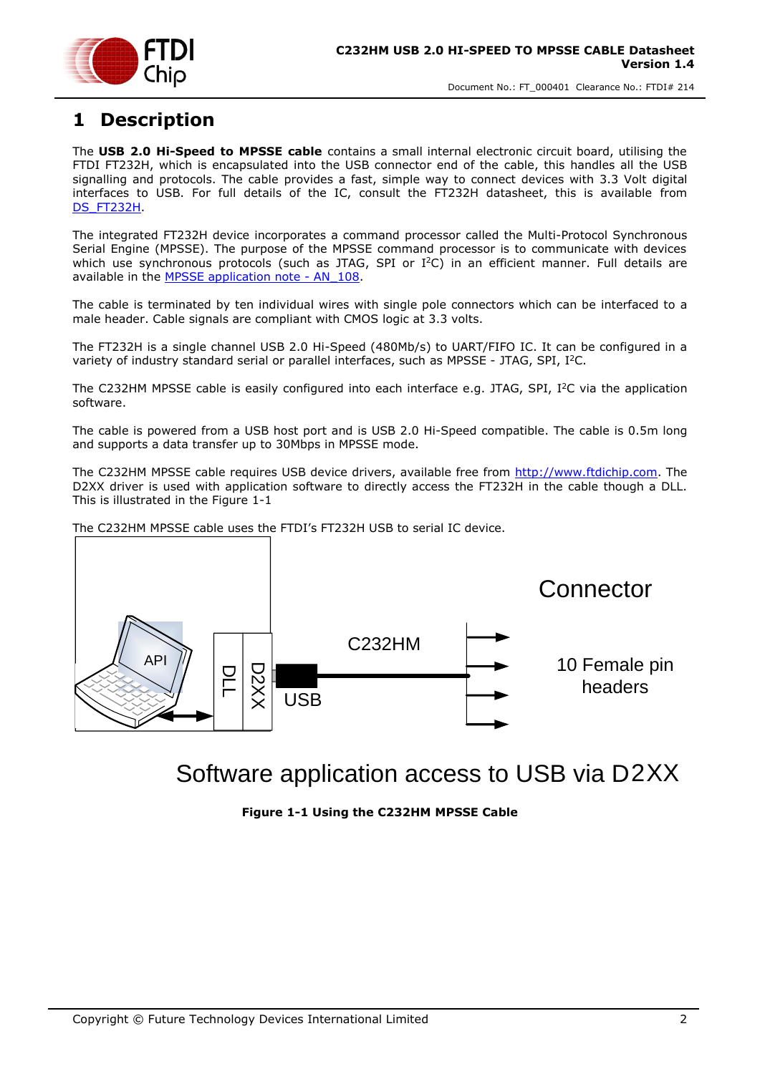

### <span id="page-1-1"></span>**1 Description**

The **USB 2.0 Hi-Speed to MPSSE cable** contains a small internal electronic circuit board, utilising the FTDI FT232H, which is encapsulated into the USB connector end of the cable, this handles all the USB signalling and protocols. The cable provides a fast, simple way to connect devices with 3.3 Volt digital interfaces to USB. For full details of the IC, consult the FT232H datasheet, this is available from [DS\\_FT232H.](http://www.ftdichip.com/Support/Documents/DataSheets/ICs/DS_FT232H.pdf)

The integrated FT232H device incorporates a command processor called the Multi-Protocol Synchronous Serial Engine (MPSSE). The purpose of the MPSSE command processor is to communicate with devices which use synchronous protocols (such as JTAG, SPI or I<sup>2</sup>C) in an efficient manner. Full details are available in the [MPSSE application note](http://www.ftdichip.com/Support/Documents/AppNotes/AN_108_Command_Processor_for_MPSSE_and_MCU_Host_Bus_Emulation_Modes.pdf) - AN\_108.

The cable is terminated by ten individual wires with single pole connectors which can be interfaced to a male header. Cable signals are compliant with CMOS logic at 3.3 volts.

The FT232H is a single channel USB 2.0 Hi-Speed (480Mb/s) to UART/FIFO IC. It can be configured in a variety of industry standard serial or parallel interfaces, such as MPSSE - JTAG, SPI, I<sup>2</sup>C.

The C232HM MPSSE cable is easily configured into each interface e.g. JTAG, SPI,  $I^2C$  via the application software.

The cable is powered from a USB host port and is USB 2.0 Hi-Speed compatible. The cable is 0.5m long and supports a data transfer up to 30Mbps in MPSSE mode.

The C232HM MPSSE cable requires USB device drivers, available free from [http://www.ftdichip.com.](http://www.ftdichip.com/) The D2XX driver is used with application software to directly access the FT232H in the cable though a DLL. This is illustrated in the [Figure 1-1](#page-1-0)

The C232HM MPSSE cable uses the FTDI's FT232H USB to serial IC device.



<span id="page-1-0"></span>Software application access to USB via D2XX

**Figure 1-1 Using the C232HM MPSSE Cable**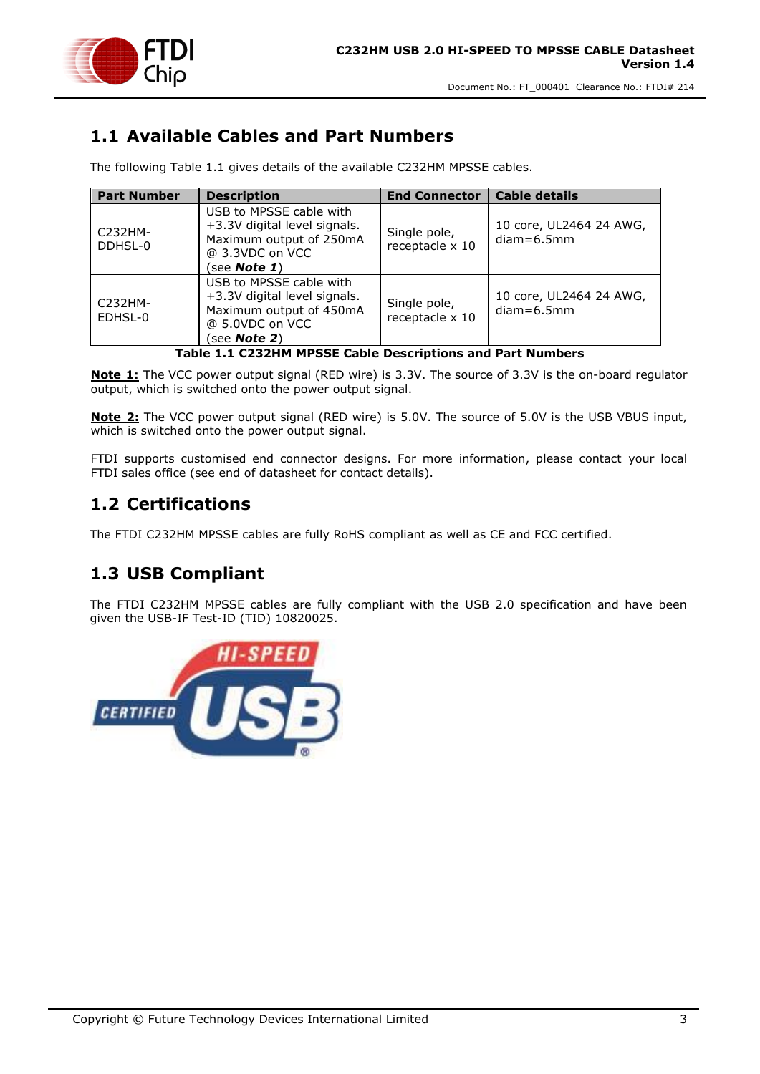

### <span id="page-2-1"></span>**1.1 Available Cables and Part Numbers**

The following [Table 1.1](#page-2-0) gives details of the available C232HM MPSSE cables.

| <b>Part Number</b>                                         | <b>Description</b>                                                                                                            | <b>End Connector</b>            | <b>Cable details</b>                    |  |  |  |
|------------------------------------------------------------|-------------------------------------------------------------------------------------------------------------------------------|---------------------------------|-----------------------------------------|--|--|--|
| C232HM-<br>DDHSL-0                                         | USB to MPSSE cable with<br>+3.3V digital level signals.<br>Maximum output of 250mA<br>@ 3.3VDC on VCC<br>(see <b>Note 1</b> ) | Single pole,<br>receptacle x 10 | 10 core, UL2464 24 AWG,<br>$diam=6.5mm$ |  |  |  |
| $C232HM-$<br>EDHSL-0                                       | USB to MPSSE cable with<br>+3.3V digital level signals.<br>Maximum output of 450mA<br>@ 5.0VDC on VCC<br>see <b>Note 2</b> )  | Single pole,<br>receptacle x 10 | 10 core, UL2464 24 AWG,<br>$diam=6.5mm$ |  |  |  |
| Table 1.1 C232HM MPSSE Cable Descriptions and Part Numbers |                                                                                                                               |                                 |                                         |  |  |  |

<span id="page-2-0"></span>**Note 1:** The VCC power output signal (RED wire) is 3.3V. The source of 3.3V is the on-board regulator output, which is switched onto the power output signal.

**Note 2:** The VCC power output signal (RED wire) is 5.0V. The source of 5.0V is the USB VBUS input, which is switched onto the power output signal.

FTDI supports customised end connector designs. For more information, please contact your local FTDI sales office (see end of datasheet for contact details).

### <span id="page-2-2"></span>**1.2 Certifications**

The FTDI C232HM MPSSE cables are fully RoHS compliant as well as CE and FCC certified.

### <span id="page-2-3"></span>**1.3 USB Compliant**

The FTDI C232HM MPSSE cables are fully compliant with the USB 2.0 specification and have been given the USB-IF Test-ID (TID) 10820025.

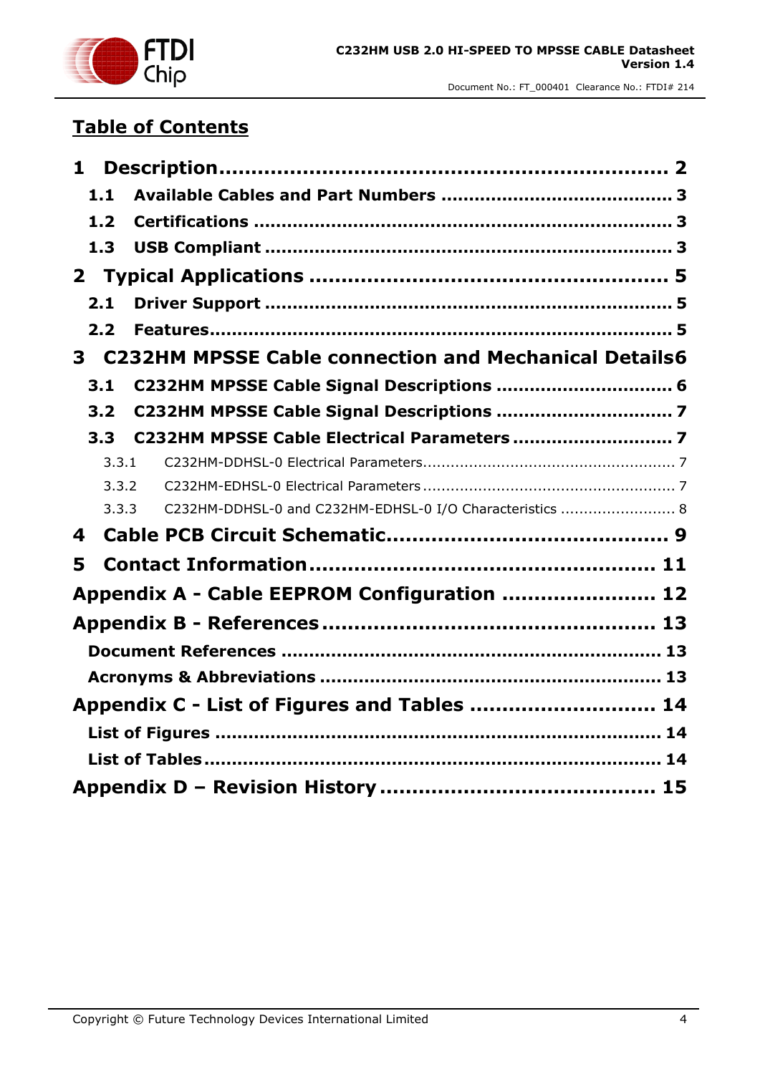

### **Table of Contents**

| $\mathbf{1}$ |       |                                                              |  |
|--------------|-------|--------------------------------------------------------------|--|
|              | 1.1   |                                                              |  |
|              | $1.2$ |                                                              |  |
|              | 1.3   |                                                              |  |
|              |       |                                                              |  |
|              | 2.1   |                                                              |  |
|              | 2.2   |                                                              |  |
| 3            |       | <b>C232HM MPSSE Cable connection and Mechanical Details6</b> |  |
|              | 3.1   |                                                              |  |
|              | 3.2   |                                                              |  |
|              | 3.3   |                                                              |  |
|              | 3.3.1 |                                                              |  |
|              | 3.3.2 |                                                              |  |
|              | 3.3.3 | C232HM-DDHSL-0 and C232HM-EDHSL-0 I/O Characteristics  8     |  |
| 4            |       |                                                              |  |
| 5            |       |                                                              |  |
|              |       | Appendix A - Cable EEPROM Configuration  12                  |  |
|              |       |                                                              |  |
|              |       |                                                              |  |
|              |       |                                                              |  |
|              |       | Appendix C - List of Figures and Tables  14                  |  |
|              |       |                                                              |  |
|              |       |                                                              |  |
|              |       |                                                              |  |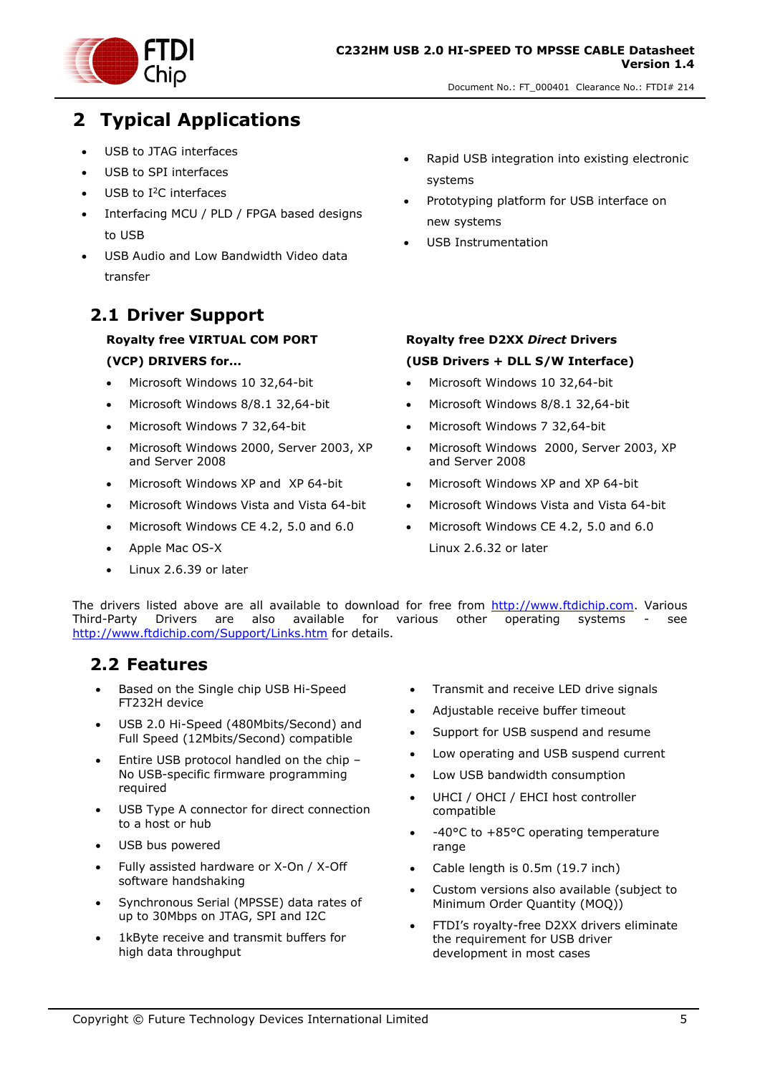

### <span id="page-4-0"></span>**2 Typical Applications**

- USB to JTAG interfaces
- USB to SPI interfaces
- USB to I<sup>2</sup>C interfaces
- Interfacing MCU / PLD / FPGA based designs to USB
- USB Audio and Low Bandwidth Video data transfer

#### <span id="page-4-1"></span>**2.1 Driver Support**

#### **Royalty free VIRTUAL COM PORT (VCP) DRIVERS for...**

- Microsoft Windows 10 32,64-bit
- Microsoft Windows 8/8.1 32,64-bit
- Microsoft Windows 7 32,64-bit
- Microsoft Windows 2000, Server 2003, XP and Server 2008
- Microsoft Windows XP and XP 64-bit
- Microsoft Windows Vista and Vista 64-bit
- Microsoft Windows CE 4.2, 5.0 and 6.0
- Apple Mac OS-X
- Linux 2.6.39 or later
- Rapid USB integration into existing electronic systems
- Prototyping platform for USB interface on new systems
- USB Instrumentation
- **Royalty free D2XX** *Direct* **Drivers (USB Drivers + DLL S/W Interface)**
- Microsoft Windows 10 32,64-bit
- Microsoft Windows 8/8.1 32,64-bit
- Microsoft Windows 7 32,64-bit
- Microsoft Windows 2000, Server 2003, XP and Server 2008
- Microsoft Windows XP and XP 64-bit
- Microsoft Windows Vista and Vista 64-bit
- Microsoft Windows CE 4.2, 5.0 and 6.0 Linux 2.6.32 or later

The drivers listed above are all available to download for free from [http://www.ftdichip.com.](http://www.ftdichip.com/) Various Third-Party Drivers are also available for various other operating systems - see <http://www.ftdichip.com/Support/Links.htm> for details.

#### <span id="page-4-2"></span>**2.2 Features**

- Based on the Single chip USB Hi-Speed FT232H device
- USB 2.0 Hi-Speed (480Mbits/Second) and Full Speed (12Mbits/Second) compatible
- Entire USB protocol handled on the chip -No USB-specific firmware programming required
- USB Type A connector for direct connection to a host or hub
- USB bus powered
- Fully assisted hardware or X-On / X-Off software handshaking
- Synchronous Serial (MPSSE) data rates of up to 30Mbps on JTAG, SPI and I2C
- 1kByte receive and transmit buffers for high data throughput
- Transmit and receive LED drive signals
- Adjustable receive buffer timeout
- Support for USB suspend and resume
- Low operating and USB suspend current
- Low USB bandwidth consumption
- UHCI / OHCI / EHCI host controller compatible
- -40°C to +85°C operating temperature range
- Cable length is 0.5m (19.7 inch)
- Custom versions also available (subject to Minimum Order Quantity (MOQ))
- FTDI's royalty-free D2XX drivers eliminate the requirement for USB driver development in most cases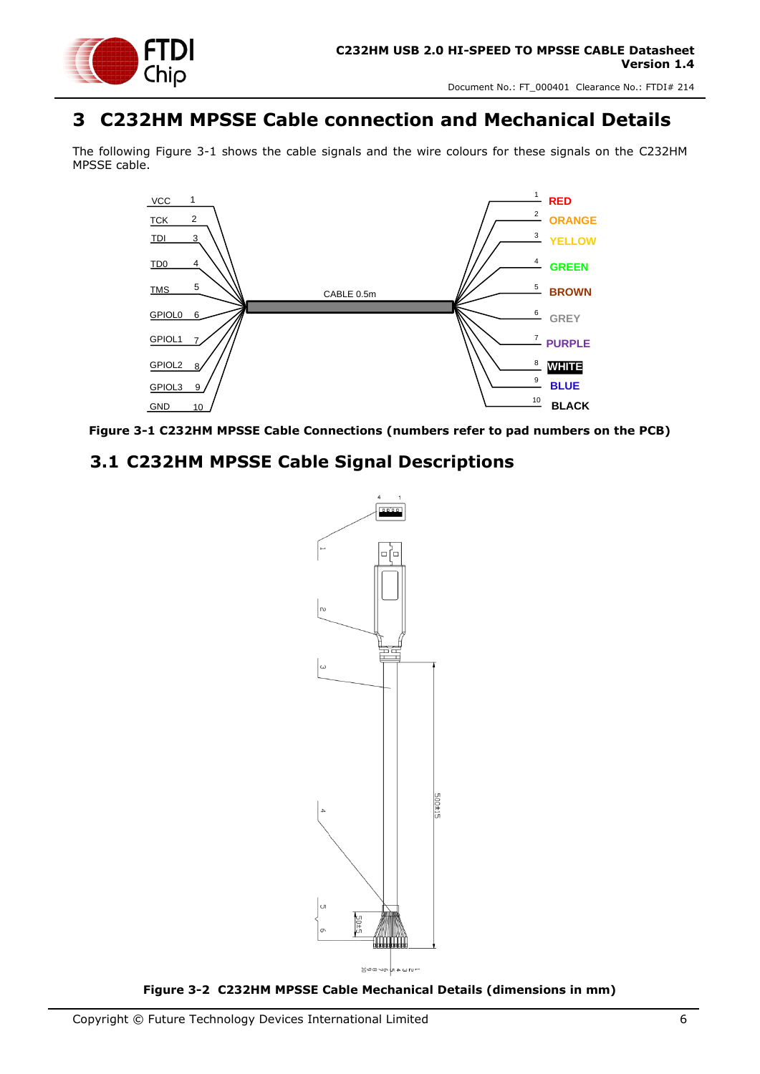

### <span id="page-5-0"></span>**3 C232HM MPSSE Cable connection and Mechanical Details**

The following [Figure 3-1](#page-5-2) shows the cable signals and the wire colours for these signals on the C232HM MPSSE cable.



<span id="page-5-2"></span>

#### <span id="page-5-1"></span>**3.1 C232HM MPSSE Cable Signal Descriptions**



<span id="page-5-3"></span>**Figure 3-2 C232HM MPSSE Cable Mechanical Details (dimensions in mm)**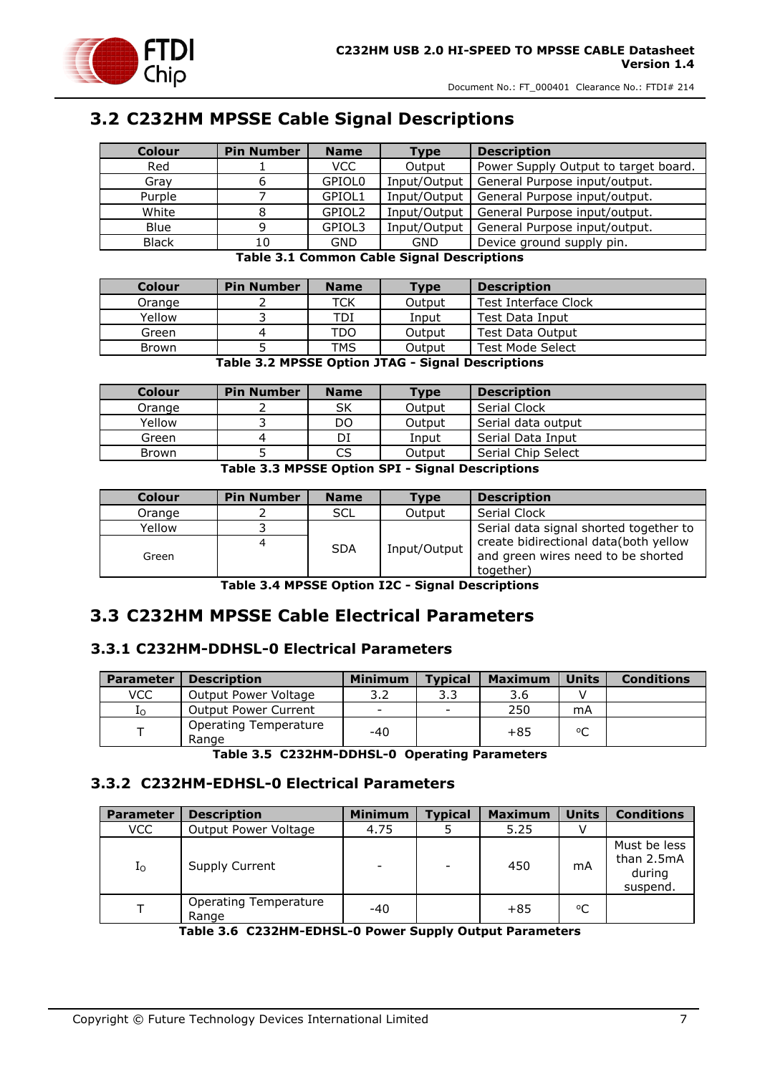

#### <span id="page-6-0"></span>**3.2 C232HM MPSSE Cable Signal Descriptions**

| <b>Colour</b> | <b>Pin Number</b> | <b>Name</b>        | Type         | <b>Description</b>                   |
|---------------|-------------------|--------------------|--------------|--------------------------------------|
| Red           |                   | <b>VCC</b>         | Output       | Power Supply Output to target board. |
| Gray          |                   | GPIOL <sub>0</sub> | Input/Output | General Purpose input/output.        |
| Purple        |                   | GPIOL1             | Input/Output | General Purpose input/output.        |
| White         |                   | GPIOL2             | Input/Output | General Purpose input/output.        |
| <b>Blue</b>   |                   | GPIOL3             | Input/Output | General Purpose input/output.        |
| <b>Black</b>  | 10                | GND                | <b>GND</b>   | Device ground supply pin.            |

**Table 3.1 Common Cable Signal Descriptions**

<span id="page-6-4"></span>

| <b>Colour</b> | <b>Pin Number</b> | <b>Name</b>                                      | Type                  | <b>Description</b>      |
|---------------|-------------------|--------------------------------------------------|-----------------------|-------------------------|
| Orange        |                   | TCK                                              | Output                | Test Interface Clock    |
| Yellow        |                   | TDI                                              | Input                 | Test Data Input         |
| Green         |                   | TDO                                              | Output                | <b>Test Data Output</b> |
| <b>Brown</b>  |                   | TMS                                              | Output                | Test Mode Select        |
|               | - - -             | $\sim$ $\sim$ $\sim$ $\sim$ $\sim$ $\sim$ $\sim$ | $\sim$<br>----<br>. . | .                       |

#### **Table 3.2 MPSSE Option JTAG - Signal Descriptions**

<span id="page-6-5"></span>

| Colour | <b>Pin Number</b> | <b>Name</b> | Type   | <b>Description</b> |
|--------|-------------------|-------------|--------|--------------------|
| Orange |                   | SK          | Output | Serial Clock       |
| Yellow |                   | DO          | Output | Serial data output |
| Green  |                   | DI          | Input  | Serial Data Input  |
| Brown  |                   | CS.         | Output | Serial Chip Select |

**Table 3.3 MPSSE Option SPI - Signal Descriptions**

<span id="page-6-6"></span>

| <b>Colour</b> | <b>Pin Number</b> | <b>Name</b> | <b>Type</b>  | <b>Description</b>                                                          |
|---------------|-------------------|-------------|--------------|-----------------------------------------------------------------------------|
| Orange        |                   | <b>SCL</b>  | Output       | Serial Clock                                                                |
| Yellow        |                   |             |              | Serial data signal shorted together to                                      |
| Green         | 4                 | <b>SDA</b>  | Input/Output | create bidirectional data(both yellow<br>and green wires need to be shorted |
|               |                   |             |              | together)                                                                   |

**Table 3.4 MPSSE Option I2C - Signal Descriptions**

#### <span id="page-6-7"></span><span id="page-6-1"></span>**3.3 C232HM MPSSE Cable Electrical Parameters**

#### <span id="page-6-2"></span>**3.3.1 C232HM-DDHSL-0 Electrical Parameters**

| <b>Parameter</b> | <b>Description</b>             | <b>Minimum</b>           | <b>Typical</b> | <b>Maximum</b> | <b>Units</b> | <b>Conditions</b> |
|------------------|--------------------------------|--------------------------|----------------|----------------|--------------|-------------------|
| <b>VCC</b>       | Output Power Voltage           | 3.2                      | 3.3            | 3.6            |              |                   |
| 10               | Output Power Current           | $\overline{\phantom{a}}$ |                | 250            | mA           |                   |
|                  | Operating Temperature<br>Range | $-40$                    |                | $+85$          | °C           |                   |

**Table 3.5 C232HM-DDHSL-0 Operating Parameters**

#### <span id="page-6-8"></span><span id="page-6-3"></span>**3.3.2 C232HM-EDHSL-0 Electrical Parameters**

| <b>Parameter</b> | <b>Description</b>             | <b>Minimum</b> | <b>Typical</b> | <b>Maximum</b> | <b>Units</b> | <b>Conditions</b>                                |
|------------------|--------------------------------|----------------|----------------|----------------|--------------|--------------------------------------------------|
| VCC              | <b>Output Power Voltage</b>    | 4.75           |                | 5.25           |              |                                                  |
| I <sub>O</sub>   | Supply Current                 |                |                | 450            | mA           | Must be less<br>than 2.5mA<br>during<br>suspend. |
|                  | Operating Temperature<br>Range | $-40$          |                | $+85$          | $^{\circ}$ C |                                                  |

<span id="page-6-9"></span>**Table 3.6 C232HM-EDHSL-0 Power Supply Output Parameters**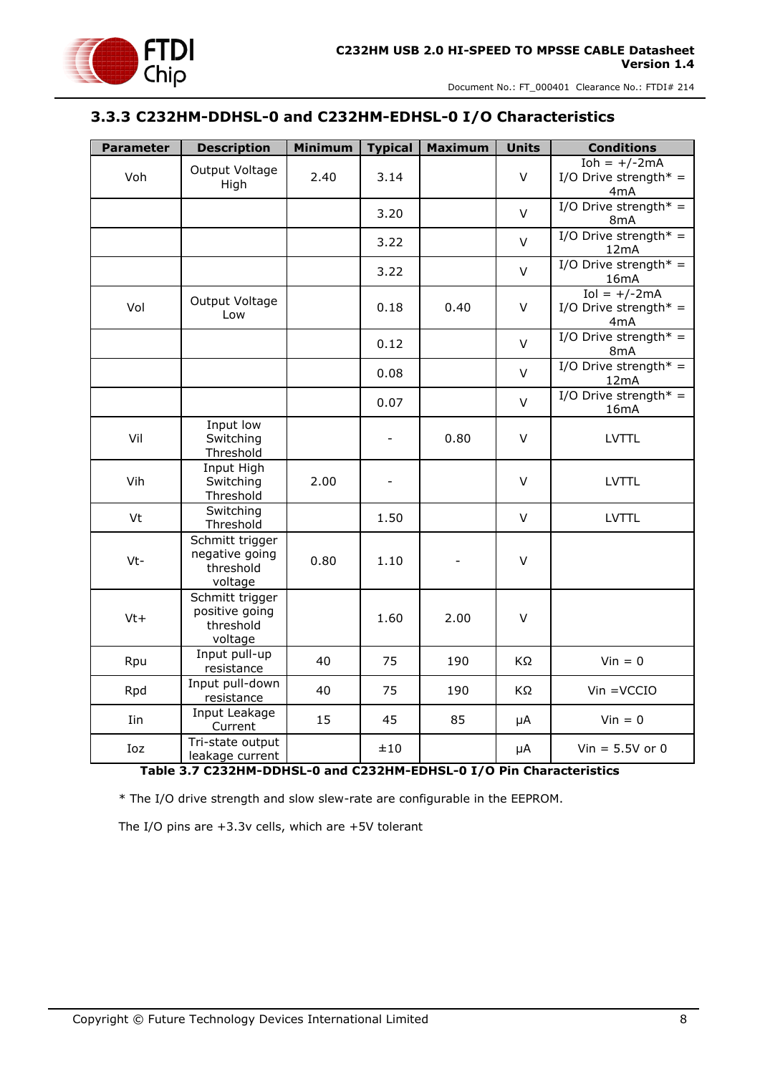#### <span id="page-7-0"></span>**3.3.3 C232HM-DDHSL-0 and C232HM-EDHSL-0 I/O Characteristics**

| <b>Parameter</b> | <b>Description</b>                                        | <b>Minimum</b> | <b>Typical</b>           | <b>Maximum</b> | <b>Units</b> | <b>Conditions</b>                                           |
|------------------|-----------------------------------------------------------|----------------|--------------------------|----------------|--------------|-------------------------------------------------------------|
| Voh              | Output Voltage<br>High                                    | 2.40           | 3.14                     |                | V            | $Ioh = +/-2mA$<br>I/O Drive strength* =<br>4mA              |
|                  |                                                           |                | 3.20                     |                | $\vee$       | I/O Drive strength* =<br>8mA                                |
|                  |                                                           |                | 3.22                     |                | $\vee$       | I/O Drive strength* =<br>12mA                               |
|                  |                                                           |                | 3.22                     |                | $\vee$       | I/O Drive strength* =<br>16mA                               |
| Vol              | Output Voltage<br>Low                                     |                | 0.18                     | 0.40           | V            | $Iol = +/-2mA$<br>I/O Drive strength* =<br>4 <sub>m</sub> A |
|                  |                                                           |                | 0.12                     |                | $\vee$       | I/O Drive strength* =<br>8 <sub>m</sub> A                   |
|                  |                                                           |                | 0.08                     |                | $\vee$       | I/O Drive strength* =<br>12mA                               |
|                  |                                                           |                | 0.07                     |                | $\vee$       | I/O Drive strength* =<br>16mA                               |
| Vil              | Input low<br>Switching<br>Threshold                       |                | $\overline{\phantom{0}}$ | 0.80           | $\vee$       | <b>LVTTL</b>                                                |
| Vih              | Input High<br>Switching<br>Threshold                      | 2.00           |                          |                | V            | LVTTL                                                       |
| Vt               | Switching<br>Threshold                                    |                | 1.50                     |                | $\vee$       | <b>LVTTL</b>                                                |
| Vt-              | Schmitt trigger<br>negative going<br>threshold<br>voltage | 0.80           | 1.10                     |                | V            |                                                             |
| $Vt+$            | Schmitt trigger<br>positive going<br>threshold<br>voltage |                | 1.60                     | 2.00           | $\vee$       |                                                             |
| Rpu              | Input pull-up<br>resistance                               | 40             | 75                       | 190            | KΩ           | $Vin = 0$                                                   |
| Rpd              | Input pull-down<br>resistance                             | 40             | 75                       | 190            | KΩ           | $V$ in = $V$ CCIO                                           |
| Iin              | Input Leakage<br>Current                                  | 15             | 45                       | 85             | μA           | $Vin = 0$                                                   |
| Ioz              | Tri-state output<br>leakage current                       |                | ±10                      |                | μA           | $Vin = 5.5V$ or 0                                           |

#### **Table 3.7 C232HM-DDHSL-0 and C232HM-EDHSL-0 I/O Pin Characteristics**

<span id="page-7-1"></span>\* The I/O drive strength and slow slew-rate are configurable in the EEPROM.

The I/O pins are +3.3v cells, which are +5V tolerant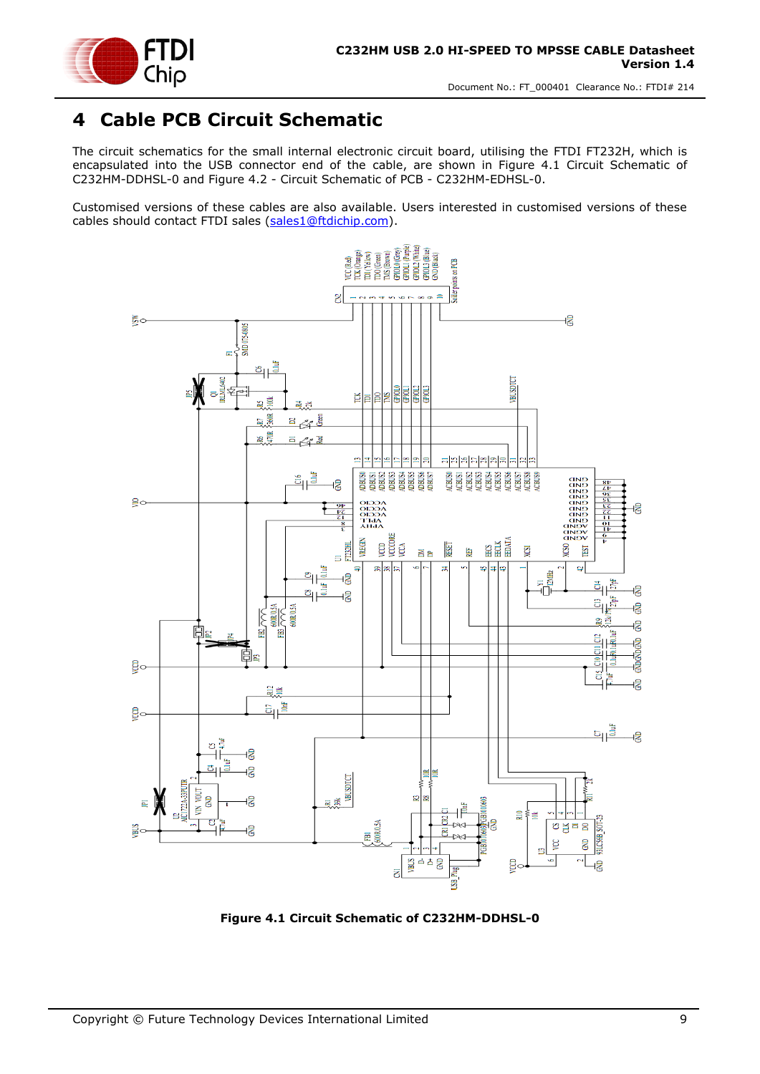

### <span id="page-8-0"></span>**4 Cable PCB Circuit Schematic**

The circuit schematics for the small internal electronic circuit board, utilising the FTDI FT232H, which is encapsulated into the USB connector end of the cable, are shown in Figure 4.1 [Circuit Schematic](#page-8-1) of [C232HM-DDHSL-0](#page-8-1) and Figure 4.2 - [Circuit Schematic of PCB -](#page-9-0) C232HM-EDHSL-0.

Customised versions of these cables are also available. Users interested in customised versions of these cables should contact FTDI sales [\(sales1@ftdichip.com\).](mailto:sales1@ftdichip.com)



<span id="page-8-1"></span>**Figure 4.1 Circuit Schematic of C232HM-DDHSL-0**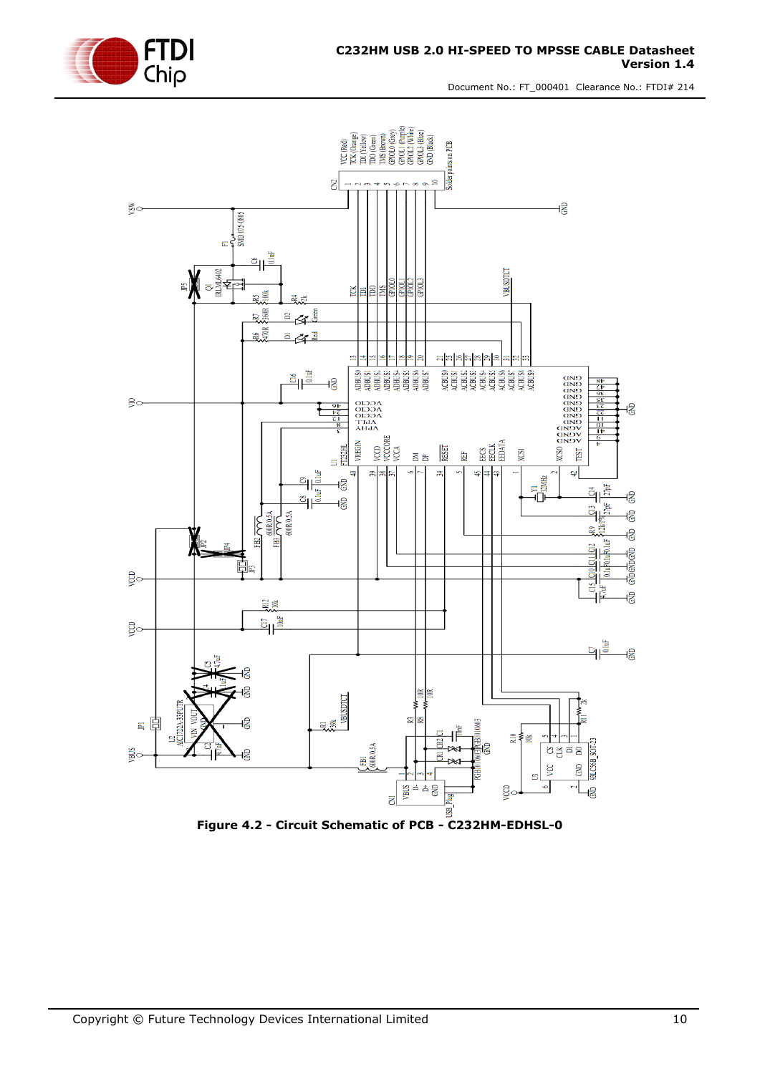



<span id="page-9-0"></span>**Figure 4.2 - Circuit Schematic of PCB - C232HM-EDHSL-0**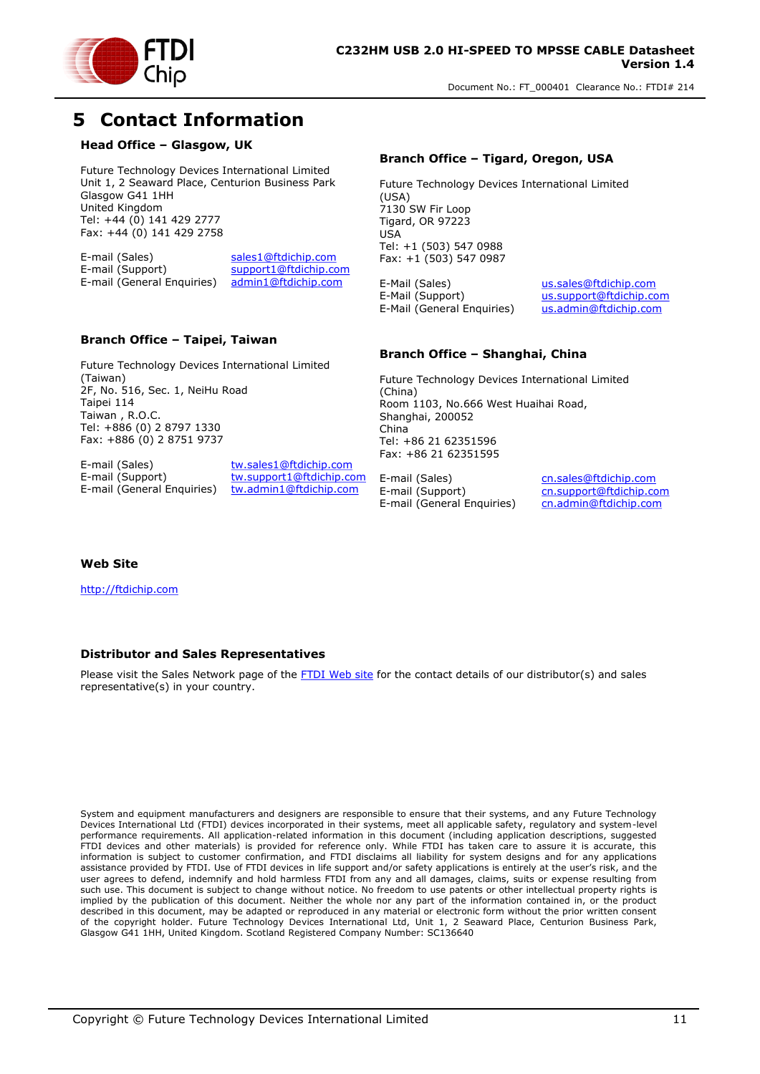

### <span id="page-10-0"></span>**5 Contact Information**

#### **Head Office – Glasgow, UK**

Future Technology Devices International Limited Unit 1, 2 Seaward Place, Centurion Business Park Glasgow G41 1HH United Kingdom Tel: +44 (0) 141 429 2777 Fax: +44 (0) 141 429 2758

E-mail (Sales) sales1@ftdichip.com<br>E-mail (Support) support1@ftdichip.com support1@ftdichip.com E-mail (General Enquiries) admin1@ftdichip.com

#### **Branch Office – Taipei, Taiwan**

Future Technology Devices International Limited (Taiwan) 2F, No. 516, Sec. 1, NeiHu Road Taipei 114 Taiwan , R.O.C. Tel: +886 (0) 2 8797 1330 Fax: +886 (0) 2 8751 9737

E-mail (Sales) tw.sales1@ftdichip.com<br>
E-mail (Support) tw.support1@ftdichip.com E-mail (General Enquiries) tw.admin1@ftdichip.com

tw.support1@ftdichip.com

#### **Branch Office – Tigard, Oregon, USA**

Future Technology Devices International Limited (USA) 7130 SW Fir Loop Tigard, OR 97223 USA Tel: +1 (503) 547 0988 Fax: +1 (503) 547 0987

E-Mail (Sales) us.sales@ftdichip.com E-Mail (Support) us.support@ftdichip.com<br>E-Mail (General Enquiries) us.admin@ftdichip.com  $E-Mail$  (General Enquiries)

#### **Branch Office – Shanghai, China**

Future Technology Devices International Limited (China) Room 1103, No.666 West Huaihai Road, Shanghai, 200052 China Tel: +86 21 62351596 Fax: +86 21 62351595

E-mail (Sales) cn.sales@ftdichip.com<br>
E-mail (Support) cn.support@ftdichip.com E-mail (General Enquiries)

cn.support@ftdichip.com<br>cn.admin@ftdichip.com

#### **Web Site**

http://ftdichip.com

#### **Distributor and Sales Representatives**

Please visit the Sales Network page of the FTDI Web site for the contact details of our distributor(s) and sales representative(s) in your country.

System and equipment manufacturers and designers are responsible to ensure that their systems, and any Future Technology Devices International Ltd (FTDI) devices incorporated in their systems, meet all applicable safety, regulatory and system-level performance requirements. All application-related information in this document (including application descriptions, suggested FTDI devices and other materials) is provided for reference only. While FTDI has taken care to assure it is accurate, this information is subject to customer confirmation, and FTDI disclaims all liability for system designs and for any applications assistance provided by FTDI. Use of FTDI devices in life support and/or safety applications is entirely at the user's risk, and the user agrees to defend, indemnify and hold harmless FTDI from any and all damages, claims, suits or expense resulting from such use. This document is subject to change without notice. No freedom to use patents or other intellectual property rights is implied by the publication of this document. Neither the whole nor any part of the information contained in, or the product described in this document, may be adapted or reproduced in any material or electronic form without the prior written consent of the copyright holder. Future Technology Devices International Ltd, Unit 1, 2 Seaward Place, Centurion Business Park, Glasgow G41 1HH, United Kingdom. Scotland Registered Company Number: SC136640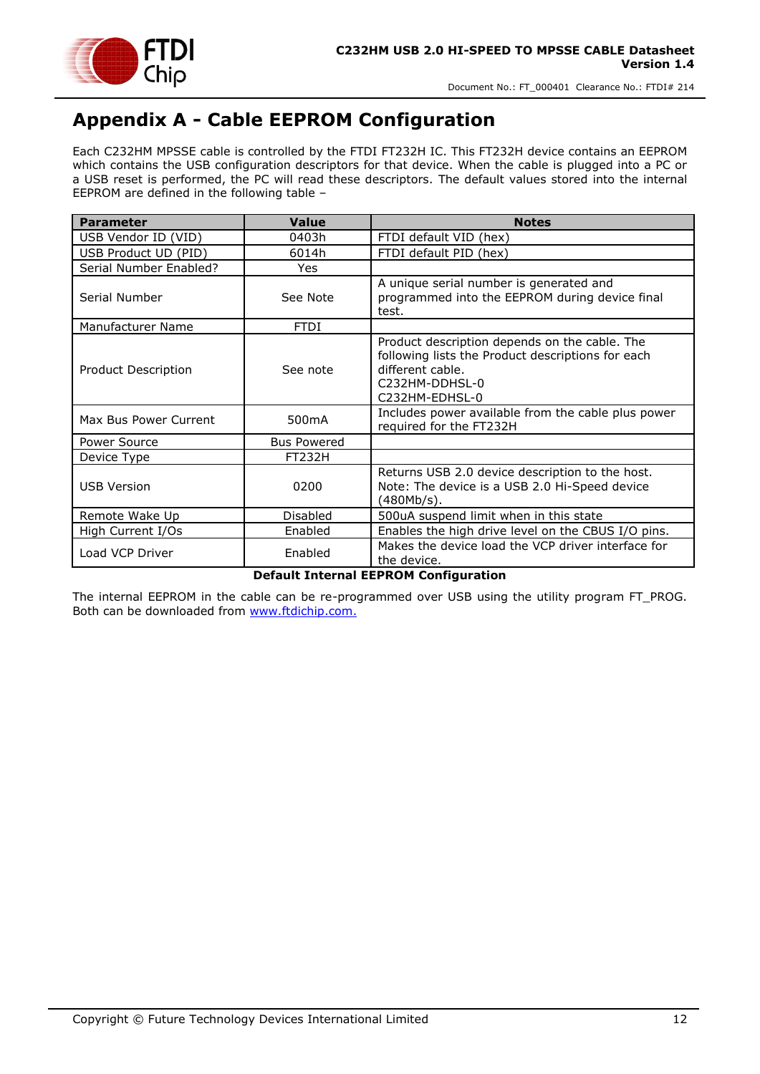

### <span id="page-11-0"></span>**Appendix A - Cable EEPROM Configuration**

Each C232HM MPSSE cable is controlled by the FTDI FT232H IC. This FT232H device contains an EEPROM which contains the USB configuration descriptors for that device. When the cable is plugged into a PC or a USB reset is performed, the PC will read these descriptors. The default values stored into the internal EEPROM are defined in the following table –

| <b>Parameter</b>       | <b>Value</b>                         | <b>Notes</b>                                                                                                                                               |
|------------------------|--------------------------------------|------------------------------------------------------------------------------------------------------------------------------------------------------------|
| USB Vendor ID (VID)    | 0403h                                | FTDI default VID (hex)                                                                                                                                     |
| USB Product UD (PID)   | 6014h                                | FTDI default PID (hex)                                                                                                                                     |
| Serial Number Enabled? | Yes                                  |                                                                                                                                                            |
| Serial Number          | See Note                             | A unique serial number is generated and<br>programmed into the EEPROM during device final<br>test.                                                         |
| Manufacturer Name      | <b>FTDI</b>                          |                                                                                                                                                            |
| Product Description    | See note                             | Product description depends on the cable. The<br>following lists the Product descriptions for each<br>different cable.<br>C232HM-DDHSL-0<br>C232HM-EDHSL-0 |
| Max Bus Power Current  | 500 <sub>m</sub> A                   | Includes power available from the cable plus power<br>required for the FT232H                                                                              |
| Power Source           | <b>Bus Powered</b>                   |                                                                                                                                                            |
| Device Type            | <b>FT232H</b>                        |                                                                                                                                                            |
| <b>USB Version</b>     | 0200                                 | Returns USB 2.0 device description to the host.<br>Note: The device is a USB 2.0 Hi-Speed device<br>(480Mb/s).                                             |
| Remote Wake Up         | <b>Disabled</b>                      | 500uA suspend limit when in this state                                                                                                                     |
| High Current I/Os      | Enabled                              | Enables the high drive level on the CBUS I/O pins.                                                                                                         |
| Load VCP Driver        | Enabled<br><b>Production Product</b> | Makes the device load the VCP driver interface for<br>the device.                                                                                          |

#### **Default Internal EEPROM Configuration**

The internal EEPROM in the cable can be re-programmed over USB using the utility program FT\_PROG. Both can be downloaded from [www.ftdichip.com.](file://///glaspssv1/General/Engineering/Engineering%20_Documents/DS_TTL-232R/DS_TTL-232R_V200/www.ftdichip.com)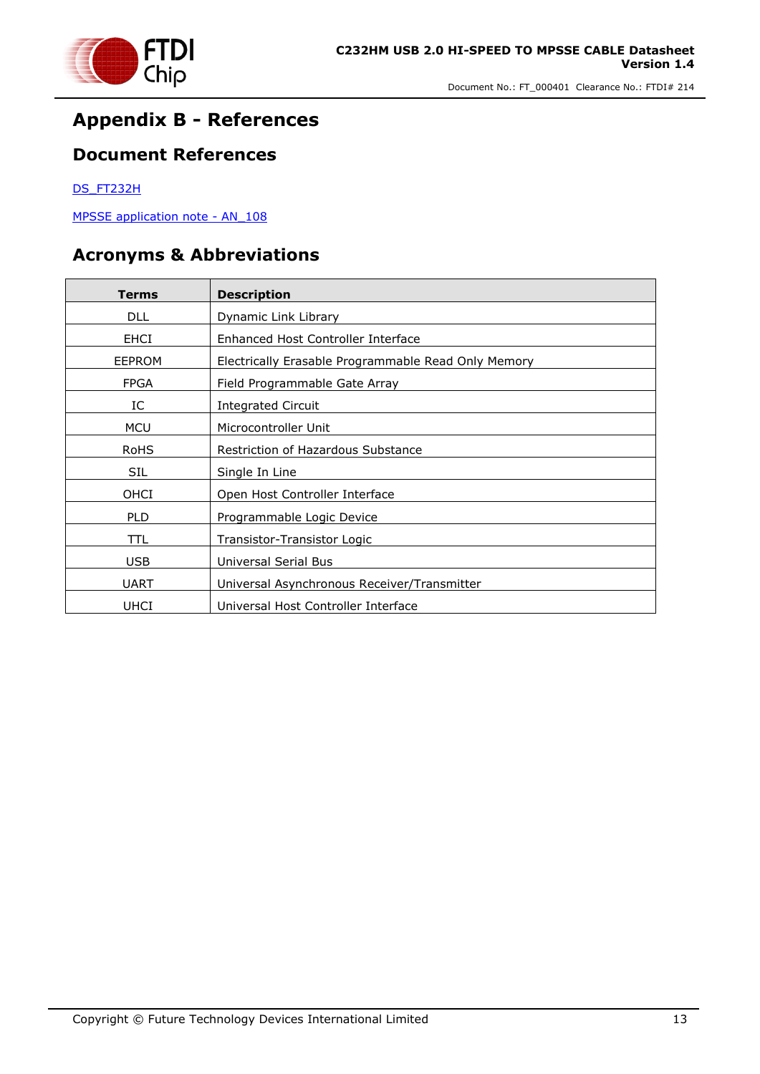

### <span id="page-12-0"></span>**Appendix B - References**

#### <span id="page-12-1"></span>**Document References**

#### [DS\\_FT232H](http://www.ftdichip.com/Support/Documents/DataSheets/ICs/DS_FT232H.pdf)

[MPSSE application note](http://www.ftdichip.com/Support/Documents/AppNotes/AN_108_Command_Processor_for_MPSSE_and_MCU_Host_Bus_Emulation_Modes.pdf) - AN 108

#### <span id="page-12-2"></span>**Acronyms & Abbreviations**

| Terms         | <b>Description</b>                                  |
|---------------|-----------------------------------------------------|
| <b>DLL</b>    | Dynamic Link Library                                |
| <b>EHCI</b>   | Enhanced Host Controller Interface                  |
| <b>EEPROM</b> | Electrically Erasable Programmable Read Only Memory |
| <b>FPGA</b>   | Field Programmable Gate Array                       |
| IC            | Integrated Circuit                                  |
| <b>MCU</b>    | Microcontroller Unit                                |
| RoHS          | Restriction of Hazardous Substance                  |
| <b>SIL</b>    | Single In Line                                      |
| OHCI          | Open Host Controller Interface                      |
| <b>PLD</b>    | Programmable Logic Device                           |
| TTL           | Transistor-Transistor Logic                         |
| <b>USB</b>    | Universal Serial Bus                                |
| <b>UART</b>   | Universal Asynchronous Receiver/Transmitter         |
| <b>UHCI</b>   | Universal Host Controller Interface                 |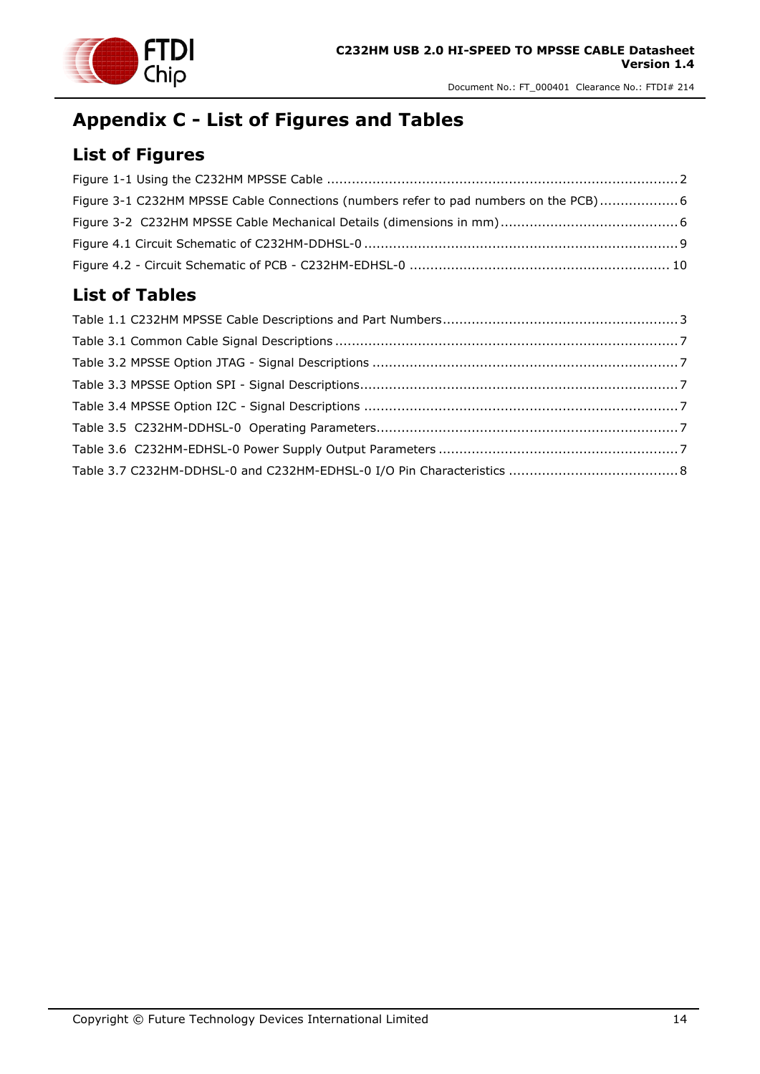

### <span id="page-13-0"></span>**Appendix C - List of Figures and Tables**

### <span id="page-13-1"></span>**List of Figures**

| Figure 3-1 C232HM MPSSE Cable Connections (numbers refer to pad numbers on the PCB) 6 |  |
|---------------------------------------------------------------------------------------|--|
|                                                                                       |  |
|                                                                                       |  |
|                                                                                       |  |

### <span id="page-13-2"></span>**List of Tables**